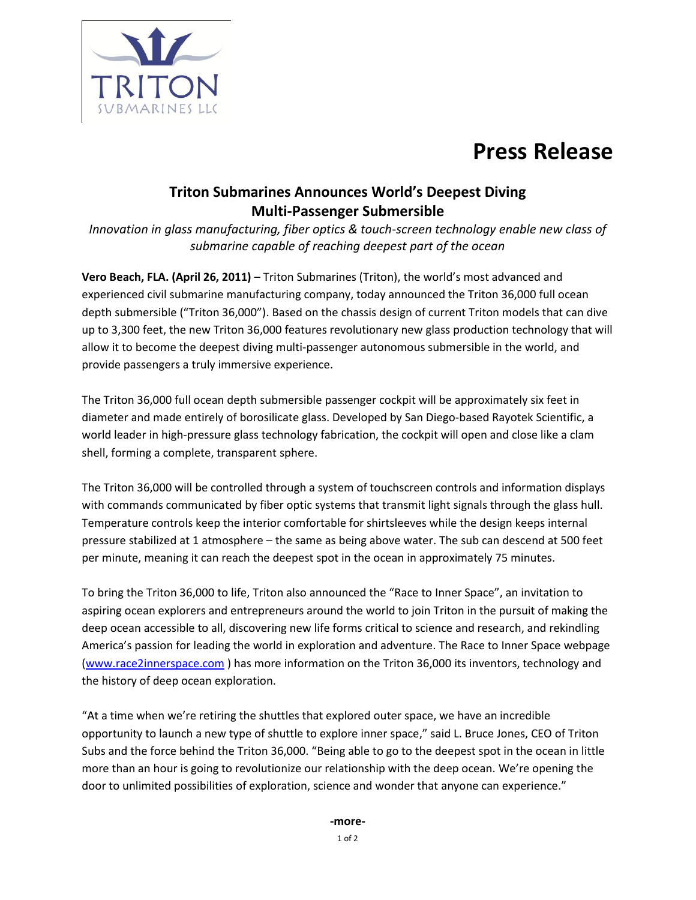

## **Press Release**

## **Triton Submarines Announces World's Deepest Diving Multi-Passenger Submersible**

*Innovation in glass manufacturing, fiber optics & touch-screen technology enable new class of submarine capable of reaching deepest part of the ocean*

**Vero Beach, FLA. (April 26, 2011)** – Triton Submarines (Triton), the world's most advanced and experienced civil submarine manufacturing company, today announced the Triton 36,000 full ocean depth submersible ("Triton 36,000"). Based on the chassis design of current Triton models that can dive up to 3,300 feet, the new Triton 36,000 features revolutionary new glass production technology that will allow it to become the deepest diving multi-passenger autonomous submersible in the world, and provide passengers a truly immersive experience.

The Triton 36,000 full ocean depth submersible passenger cockpit will be approximately six feet in diameter and made entirely of borosilicate glass. Developed by San Diego-based Rayotek Scientific, a world leader in high-pressure glass technology fabrication, the cockpit will open and close like a clam shell, forming a complete, transparent sphere.

The Triton 36,000 will be controlled through a system of touchscreen controls and information displays with commands communicated by fiber optic systems that transmit light signals through the glass hull. Temperature controls keep the interior comfortable for shirtsleeves while the design keeps internal pressure stabilized at 1 atmosphere – the same as being above water. The sub can descend at 500 feet per minute, meaning it can reach the deepest spot in the ocean in approximately 75 minutes.

To bring the Triton 36,000 to life, Triton also announced the "Race to Inner Space", an invitation to aspiring ocean explorers and entrepreneurs around the world to join Triton in the pursuit of making the deep ocean accessible to all, discovering new life forms critical to science and research, and rekindling America's passion for leading the world in exploration and adventure. The Race to Inner Space webpage [\(www.race2innerspace.com](http://www.race2innerspace.com/) ) has more information on the Triton 36,000 its inventors, technology and the history of deep ocean exploration.

"At a time when we're retiring the shuttles that explored outer space, we have an incredible opportunity to launch a new type of shuttle to explore inner space," said L. Bruce Jones, CEO of Triton Subs and the force behind the Triton 36,000. "Being able to go to the deepest spot in the ocean in little more than an hour is going to revolutionize our relationship with the deep ocean. We're opening the door to unlimited possibilities of exploration, science and wonder that anyone can experience."